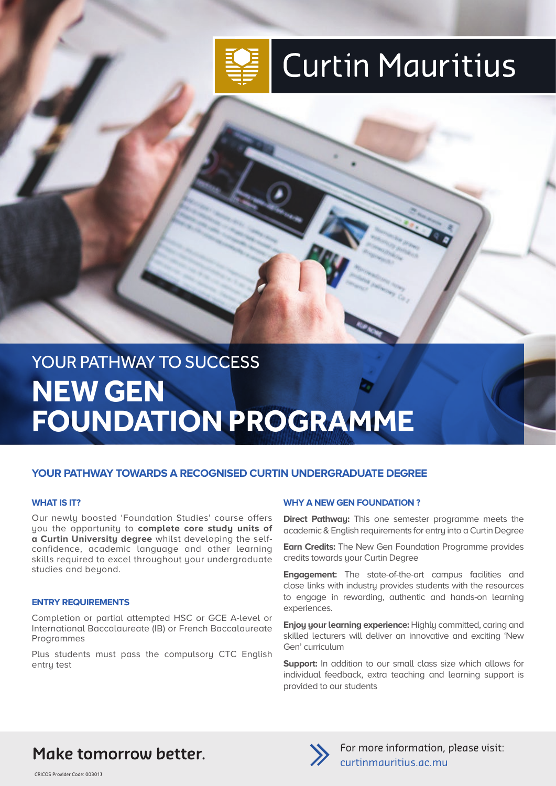

# **Curtin Mauritius**

## YOUR PATHWAY TO SUCCESS **NEW GEN FOUNDATION PROGRAMME**

#### **YOUR PATHWAY TOWARDS A RECOGNISED CURTIN UNDERGRADUATE DEGREE**

#### **WHAT IS IT?**

Our newly boosted 'Foundation Studies' course offers you the opportunity to **complete core study units of a Curtin University degree** whilst developing the selfconfidence, academic language and other learning skills required to excel throughout your undergraduate studies and beyond.

#### **ENTRY REQUIREMENTS**

Completion or partial attempted HSC or GCE A-level or International Baccalaureate (IB) or French Baccalaureate Programmes

Plus students must pass the compulsory CTC English entry test

#### **WHY A NEW GEN FOUNDATION ?**

**Direct Pathway:** This one semester programme meets the academic & English requirements for entry into a Curtin Degree

**Earn Credits:** The New Gen Foundation Programme provides credits towards your Curtin Degree

**Engagement:** The state-of-the-art campus facilities and close links with industry provides students with the resources to engage in rewarding, authentic and hands-on learning experiences.

**Enjoy your learning experience:** Highly committed, caring and skilled lecturers will deliver an innovative and exciting 'New Gen' curriculum

**Support:** In addition to our small class size which allows for individual feedback, extra teaching and learning support is provided to our students

## Make tomorrow better.



For more information, please visit: curtinmauritius.ac.mu